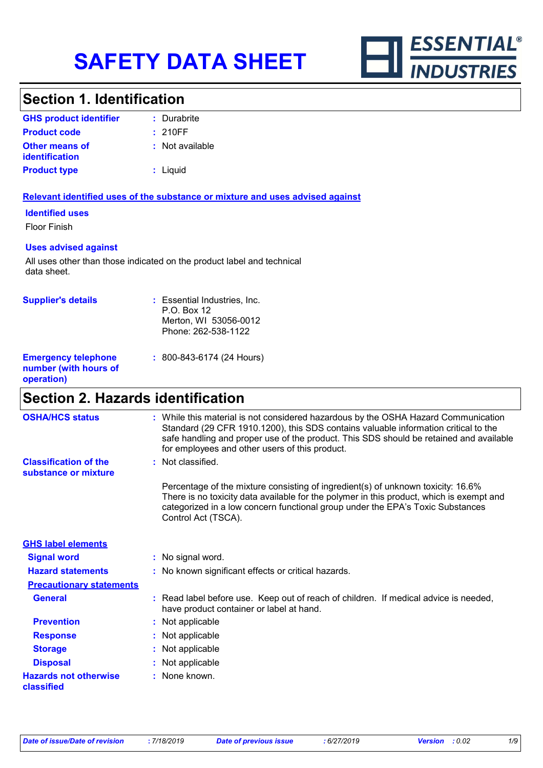

### **Section 1. Identification**

| <b>GHS product identifier</b>                  | : Durabrite     |
|------------------------------------------------|-----------------|
| <b>Product code</b>                            | : 210FF         |
| <b>Other means of</b><br><b>identification</b> | : Not available |
| <b>Product type</b>                            | : Liguid        |

### **Relevant identified uses of the substance or mixture and uses advised against**

### **Identified uses**

Floor Finish

### **Uses advised against**

All uses other than those indicated on the product label and technical data sheet.

| <b>Supplier's details</b>                                         | : Essential Industries, Inc.<br>$P.O.$ Box 12<br>Merton, WI 53056-0012<br>Phone: 262-538-1122 |
|-------------------------------------------------------------------|-----------------------------------------------------------------------------------------------|
| <b>Emergency telephone</b><br>number (with hours of<br>operation) | $: 800 - 843 - 6174 (24$ Hours)                                                               |

# **Section 2. Hazards identification**

| <b>OSHA/HCS status</b>                               | : While this material is not considered hazardous by the OSHA Hazard Communication<br>Standard (29 CFR 1910.1200), this SDS contains valuable information critical to the<br>safe handling and proper use of the product. This SDS should be retained and available<br>for employees and other users of this product. |
|------------------------------------------------------|-----------------------------------------------------------------------------------------------------------------------------------------------------------------------------------------------------------------------------------------------------------------------------------------------------------------------|
| <b>Classification of the</b><br>substance or mixture | : Not classified.                                                                                                                                                                                                                                                                                                     |
|                                                      | Percentage of the mixture consisting of ingredient(s) of unknown toxicity: 16.6%<br>There is no toxicity data available for the polymer in this product, which is exempt and<br>categorized in a low concern functional group under the EPA's Toxic Substances<br>Control Act (TSCA).                                 |
| <b>GHS label elements</b>                            |                                                                                                                                                                                                                                                                                                                       |
| <b>Signal word</b>                                   | : No signal word.                                                                                                                                                                                                                                                                                                     |
| <b>Hazard statements</b>                             | : No known significant effects or critical hazards.                                                                                                                                                                                                                                                                   |
| <b>Precautionary statements</b>                      |                                                                                                                                                                                                                                                                                                                       |
| <b>General</b>                                       | : Read label before use. Keep out of reach of children. If medical advice is needed,<br>have product container or label at hand.                                                                                                                                                                                      |
| <b>Prevention</b>                                    | : Not applicable                                                                                                                                                                                                                                                                                                      |
| <b>Response</b>                                      | : Not applicable                                                                                                                                                                                                                                                                                                      |
| <b>Storage</b>                                       | : Not applicable                                                                                                                                                                                                                                                                                                      |
| <b>Disposal</b>                                      | : Not applicable                                                                                                                                                                                                                                                                                                      |
| <b>Hazards not otherwise</b><br>classified           | : None known.                                                                                                                                                                                                                                                                                                         |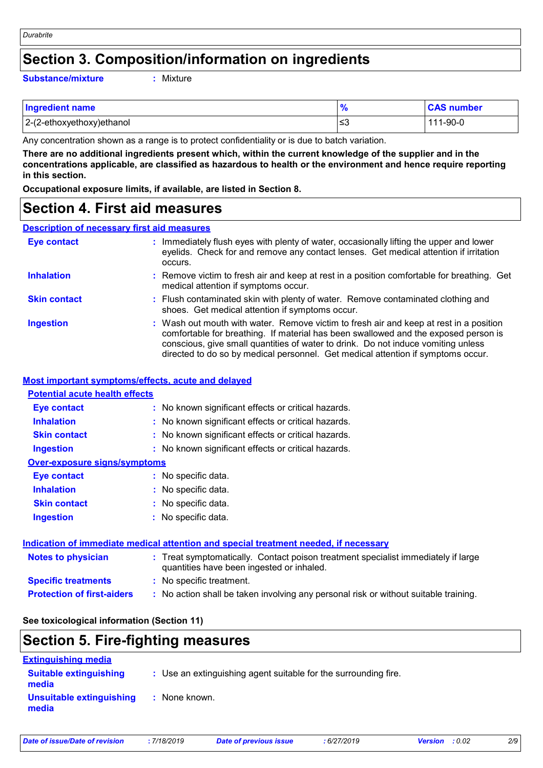### **Section 3. Composition/information on ingredients**

**Substance/mixture :**

: Mixture

| <b>Ingredient name</b>    | $\bullet$ | <b>CAS number</b> |
|---------------------------|-----------|-------------------|
| 2-(2-ethoxyethoxy)ethanol | ≲3        | 111-90-0          |

Any concentration shown as a range is to protect confidentiality or is due to batch variation.

**There are no additional ingredients present which, within the current knowledge of the supplier and in the concentrations applicable, are classified as hazardous to health or the environment and hence require reporting in this section.**

**Occupational exposure limits, if available, are listed in Section 8.**

### **Section 4. First aid measures**

### **Description of necessary first aid measures**

| <b>Eye contact</b>  | : Immediately flush eyes with plenty of water, occasionally lifting the upper and lower<br>eyelids. Check for and remove any contact lenses. Get medical attention if irritation<br>occurs.                                                                                                                                                            |
|---------------------|--------------------------------------------------------------------------------------------------------------------------------------------------------------------------------------------------------------------------------------------------------------------------------------------------------------------------------------------------------|
| <b>Inhalation</b>   | : Remove victim to fresh air and keep at rest in a position comfortable for breathing. Get<br>medical attention if symptoms occur.                                                                                                                                                                                                                     |
| <b>Skin contact</b> | : Flush contaminated skin with plenty of water. Remove contaminated clothing and<br>shoes. Get medical attention if symptoms occur.                                                                                                                                                                                                                    |
| <b>Ingestion</b>    | : Wash out mouth with water. Remove victim to fresh air and keep at rest in a position<br>comfortable for breathing. If material has been swallowed and the exposed person is<br>conscious, give small quantities of water to drink. Do not induce vomiting unless<br>directed to do so by medical personnel. Get medical attention if symptoms occur. |

#### **Most important symptoms/effects, acute and delayed**

### **Notes to physician :** Treat symptomatically. Contact poison treatment specialist immediately if large **Inhalation :** No known significant effects or critical hazards. **Ingestion :** No known significant effects or critical hazards. **Skin contact :** No known significant effects or critical hazards. **Eye contact :** No known significant effects or critical hazards. **Over-exposure signs/symptoms Skin contact Ingestion Inhalation :** No specific data. No specific data. **:** No specific data. **: Eye contact :** No specific data. **Potential acute health effects Indication of immediate medical attention and special treatment needed, if necessary**

| Notes to physician                | : Treat symptomatically. Contact poison treatment specialist immediately if large<br>quantities have been ingested or inhaled. |
|-----------------------------------|--------------------------------------------------------------------------------------------------------------------------------|
| <b>Specific treatments</b>        | : No specific treatment.                                                                                                       |
| <b>Protection of first-aiders</b> | : No action shall be taken involving any personal risk or without suitable training.                                           |

### **See toxicological information (Section 11)**

# **Section 5. Fire-fighting measures**

| <b>Extinguishing media</b>             |                                                                 |
|----------------------------------------|-----------------------------------------------------------------|
| <b>Suitable extinguishing</b><br>media | : Use an extinguishing agent suitable for the surrounding fire. |
| Unsuitable extinguishing<br>media      | : None known.                                                   |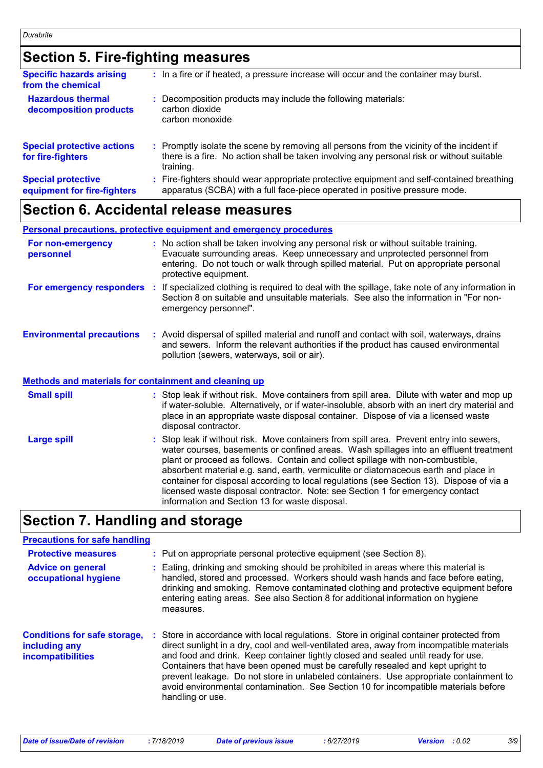# **Section 5. Fire-fighting measures**

| <b>Specific hazards arising</b><br>from the chemical     | : In a fire or if heated, a pressure increase will occur and the container may burst.                                                                                                               |
|----------------------------------------------------------|-----------------------------------------------------------------------------------------------------------------------------------------------------------------------------------------------------|
| <b>Hazardous thermal</b><br>decomposition products       | Decomposition products may include the following materials:<br>carbon dioxide<br>carbon monoxide                                                                                                    |
| <b>Special protective actions</b><br>for fire-fighters   | : Promptly isolate the scene by removing all persons from the vicinity of the incident if<br>there is a fire. No action shall be taken involving any personal risk or without suitable<br>training. |
| <b>Special protective</b><br>equipment for fire-fighters | Fire-fighters should wear appropriate protective equipment and self-contained breathing<br>apparatus (SCBA) with a full face-piece operated in positive pressure mode.                              |

### **Section 6. Accidental release measures**

**Personal precautions, protective equipment and emergency procedures**

| For non-emergency<br>personnel                               |   | : No action shall be taken involving any personal risk or without suitable training.<br>Evacuate surrounding areas. Keep unnecessary and unprotected personnel from<br>entering. Do not touch or walk through spilled material. Put on appropriate personal<br>protective equipment.                                                                        |  |
|--------------------------------------------------------------|---|-------------------------------------------------------------------------------------------------------------------------------------------------------------------------------------------------------------------------------------------------------------------------------------------------------------------------------------------------------------|--|
| For emergency responders                                     | ÷ | If specialized clothing is required to deal with the spillage, take note of any information in<br>Section 8 on suitable and unsuitable materials. See also the information in "For non-<br>emergency personnel".                                                                                                                                            |  |
| <b>Environmental precautions</b>                             |   | : Avoid dispersal of spilled material and runoff and contact with soil, waterways, drains<br>and sewers. Inform the relevant authorities if the product has caused environmental<br>pollution (sewers, waterways, soil or air).                                                                                                                             |  |
| <b>Methods and materials for containment and cleaning up</b> |   |                                                                                                                                                                                                                                                                                                                                                             |  |
| <b>Small spill</b>                                           |   | : Stop leak if without risk. Move containers from spill area. Dilute with water and mop up<br>if water-soluble. Alternatively, or if water-insoluble, absorb with an inert dry material and<br>place in an appropriate waste disposal container. Dispose of via a licensed waste<br>disposal contractor.                                                    |  |
| <b>Large spill</b>                                           |   | : Stop leak if without risk. Move containers from spill area. Prevent entry into sewers,<br>water courses, basements or confined areas. Wash spillages into an effluent treatment<br>plant or proceed as follows. Contain and collect spillage with non-combustible,<br>absorbent material e.g. sand, earth, vermiculite or diatomaceous earth and place in |  |

# **Section 7. Handling and storage**

### **Precautions for safe handling**

| <b>Protective measures</b>                                                       |    | : Put on appropriate personal protective equipment (see Section 8).                                                                                                                                                                                                                                                                                                                                                                                                                                                                                             |
|----------------------------------------------------------------------------------|----|-----------------------------------------------------------------------------------------------------------------------------------------------------------------------------------------------------------------------------------------------------------------------------------------------------------------------------------------------------------------------------------------------------------------------------------------------------------------------------------------------------------------------------------------------------------------|
| <b>Advice on general</b><br>occupational hygiene                                 |    | : Eating, drinking and smoking should be prohibited in areas where this material is<br>handled, stored and processed. Workers should wash hands and face before eating,<br>drinking and smoking. Remove contaminated clothing and protective equipment before<br>entering eating areas. See also Section 8 for additional information on hygiene<br>measures.                                                                                                                                                                                                   |
| <b>Conditions for safe storage,</b><br>including any<br><b>incompatibilities</b> | ÷. | Store in accordance with local regulations. Store in original container protected from<br>direct sunlight in a dry, cool and well-ventilated area, away from incompatible materials<br>and food and drink. Keep container tightly closed and sealed until ready for use.<br>Containers that have been opened must be carefully resealed and kept upright to<br>prevent leakage. Do not store in unlabeled containers. Use appropriate containment to<br>avoid environmental contamination. See Section 10 for incompatible materials before<br>handling or use. |

information and Section 13 for waste disposal.

container for disposal according to local regulations (see Section 13). Dispose of via a licensed waste disposal contractor. Note: see Section 1 for emergency contact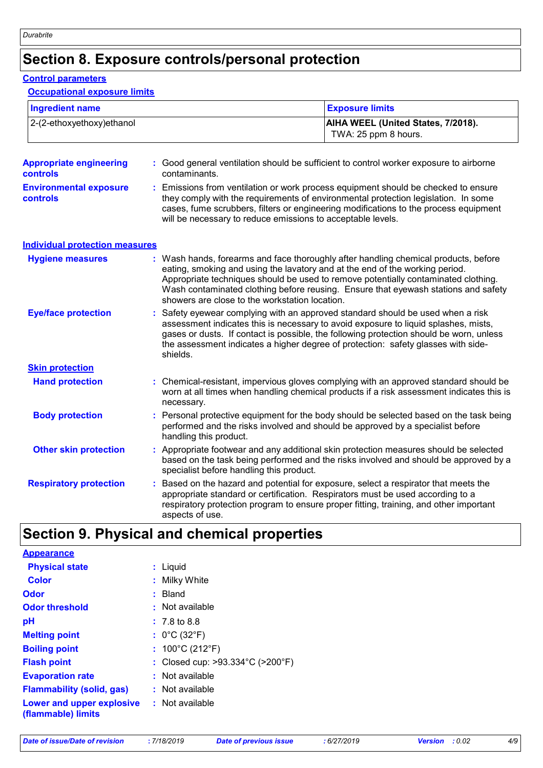# **Section 8. Exposure controls/personal protection**

#### **Control parameters**

### **Occupational exposure limits**

| <b>Ingredient name</b>                           |    |                                                                                                                                                                                                                                                                                                                                                                  | <b>Exposure limits</b><br>AIHA WEEL (United States, 7/2018).<br>TWA: 25 ppm 8 hours.                                                                                                                                                                            |  |
|--------------------------------------------------|----|------------------------------------------------------------------------------------------------------------------------------------------------------------------------------------------------------------------------------------------------------------------------------------------------------------------------------------------------------------------|-----------------------------------------------------------------------------------------------------------------------------------------------------------------------------------------------------------------------------------------------------------------|--|
| 2-(2-ethoxyethoxy)ethanol                        |    |                                                                                                                                                                                                                                                                                                                                                                  |                                                                                                                                                                                                                                                                 |  |
| <b>Appropriate engineering</b><br>controls       |    | contaminants.                                                                                                                                                                                                                                                                                                                                                    | Good general ventilation should be sufficient to control worker exposure to airborne                                                                                                                                                                            |  |
| <b>Environmental exposure</b><br><b>controls</b> |    | : Emissions from ventilation or work process equipment should be checked to ensure<br>they comply with the requirements of environmental protection legislation. In some<br>cases, fume scrubbers, filters or engineering modifications to the process equipment<br>will be necessary to reduce emissions to acceptable levels.                                  |                                                                                                                                                                                                                                                                 |  |
| <b>Individual protection measures</b>            |    |                                                                                                                                                                                                                                                                                                                                                                  |                                                                                                                                                                                                                                                                 |  |
| <b>Hygiene measures</b>                          |    | eating, smoking and using the lavatory and at the end of the working period.<br>showers are close to the workstation location.                                                                                                                                                                                                                                   | : Wash hands, forearms and face thoroughly after handling chemical products, before<br>Appropriate techniques should be used to remove potentially contaminated clothing.<br>Wash contaminated clothing before reusing. Ensure that eyewash stations and safety |  |
| <b>Eye/face protection</b>                       |    | Safety eyewear complying with an approved standard should be used when a risk<br>assessment indicates this is necessary to avoid exposure to liquid splashes, mists,<br>gases or dusts. If contact is possible, the following protection should be worn, unless<br>the assessment indicates a higher degree of protection: safety glasses with side-<br>shields. |                                                                                                                                                                                                                                                                 |  |
| <b>Skin protection</b>                           |    |                                                                                                                                                                                                                                                                                                                                                                  |                                                                                                                                                                                                                                                                 |  |
| <b>Hand protection</b>                           | ÷. | Chemical-resistant, impervious gloves complying with an approved standard should be<br>worn at all times when handling chemical products if a risk assessment indicates this is<br>necessary.                                                                                                                                                                    |                                                                                                                                                                                                                                                                 |  |
| <b>Body protection</b>                           | ÷. | Personal protective equipment for the body should be selected based on the task being<br>performed and the risks involved and should be approved by a specialist before<br>handling this product.                                                                                                                                                                |                                                                                                                                                                                                                                                                 |  |
| <b>Other skin protection</b>                     |    | : Appropriate footwear and any additional skin protection measures should be selected<br>based on the task being performed and the risks involved and should be approved by a<br>specialist before handling this product.                                                                                                                                        |                                                                                                                                                                                                                                                                 |  |
| <b>Respiratory protection</b>                    | ÷. | appropriate standard or certification. Respirators must be used according to a<br>aspects of use.                                                                                                                                                                                                                                                                | Based on the hazard and potential for exposure, select a respirator that meets the<br>respiratory protection program to ensure proper fitting, training, and other important                                                                                    |  |

# **Section 9. Physical and chemical properties**

| <b>Appearance</b>                               |                                                       |
|-------------------------------------------------|-------------------------------------------------------|
| <b>Physical state</b>                           | : Liquid                                              |
| <b>Color</b>                                    | : Milky White                                         |
| Odor                                            | : Bland                                               |
| <b>Odor threshold</b>                           | : Not available                                       |
| рH                                              | $: 7.8 \text{ to } 8.8$                               |
| <b>Melting point</b>                            | : $0^{\circ}$ C (32 $^{\circ}$ F)                     |
| <b>Boiling point</b>                            | : $100^{\circ}$ C (212 $^{\circ}$ F)                  |
| <b>Flash point</b>                              | : Closed cup: $>93.334^{\circ}$ C ( $>200^{\circ}$ F) |
| <b>Evaporation rate</b>                         | : Not available                                       |
| <b>Flammability (solid, gas)</b>                | : Not available                                       |
| Lower and upper explosive<br>(flammable) limits | : Not available                                       |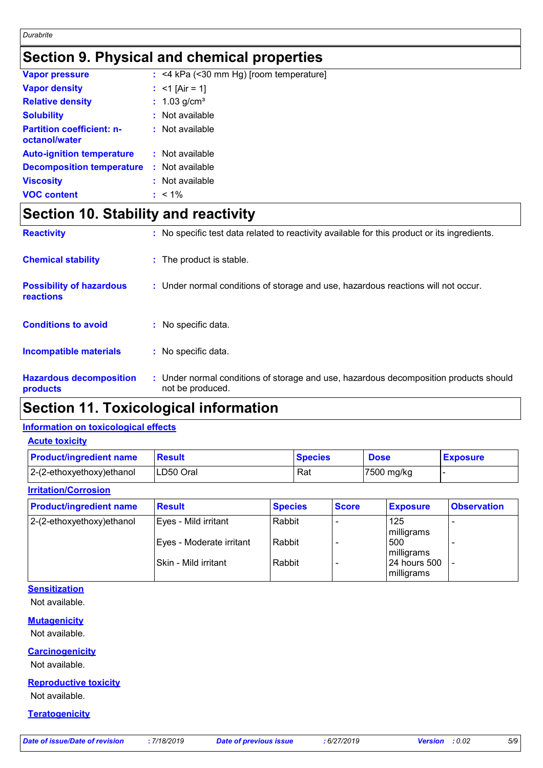# **Section 9. Physical and chemical properties**

| <b>Vapor pressure</b>                             | $:$ <4 kPa (<30 mm Hg) [room temperature] |
|---------------------------------------------------|-------------------------------------------|
| <b>Vapor density</b>                              | : $<$ 1 [Air = 1]                         |
| <b>Relative density</b>                           | : $1.03$ g/cm <sup>3</sup>                |
| <b>Solubility</b>                                 | $:$ Not available                         |
| <b>Partition coefficient: n-</b><br>octanol/water | $:$ Not available                         |
| <b>Auto-ignition temperature</b>                  | $:$ Not available                         |
| <b>Decomposition temperature</b>                  | $:$ Not available                         |
| <b>Viscosity</b>                                  | : Not available                           |
| <b>VOC content</b>                                | $: 1\%$                                   |

# **Section 10. Stability and reactivity**

| <b>Reactivity</b>                                   | : No specific test data related to reactivity available for this product or its ingredients.              |
|-----------------------------------------------------|-----------------------------------------------------------------------------------------------------------|
| <b>Chemical stability</b>                           | : The product is stable.                                                                                  |
| <b>Possibility of hazardous</b><br><b>reactions</b> | : Under normal conditions of storage and use, hazardous reactions will not occur.                         |
| <b>Conditions to avoid</b>                          | : No specific data.                                                                                       |
| <b>Incompatible materials</b>                       | : No specific data.                                                                                       |
| <b>Hazardous decomposition</b><br>products          | : Under normal conditions of storage and use, hazardous decomposition products should<br>not be produced. |

# **Section 11. Toxicological information**

### **Information on toxicological effects**

|  |  |  | <b>Acute toxicity</b> |
|--|--|--|-----------------------|
|--|--|--|-----------------------|

| <b>Product/ingredient name</b> | <b>Result</b> | <b>Species</b> | <b>Dose</b> | <b>Exposure</b> |
|--------------------------------|---------------|----------------|-------------|-----------------|
| 2-(2-ethoxyethoxy)ethanol      | LD50 Oral     | Rat            | 7500 mg/kg  |                 |

### **Irritation/Corrosion**

| <b>Product/ingredient name</b> | <b>Result</b>            | <b>Species</b> | <b>Score</b> | <b>Exposure</b>            | <b>Observation</b>       |
|--------------------------------|--------------------------|----------------|--------------|----------------------------|--------------------------|
| $ 2-(2-ethoxyethoxy)e$ thanol  | Eyes - Mild irritant     | Rabbit         |              | 125<br>milligrams          | $\overline{\phantom{0}}$ |
|                                | Eyes - Moderate irritant | Rabbit         |              | 500<br>milligrams          |                          |
|                                | l Skin - Mild irritant   | Rabbit         |              | 24 hours 500<br>milligrams |                          |

### **Sensitization**

Not available.

### **Mutagenicity**

Not available.

### **Carcinogenicity**

Not available.

### **Reproductive toxicity**

Not available.

### **Teratogenicity**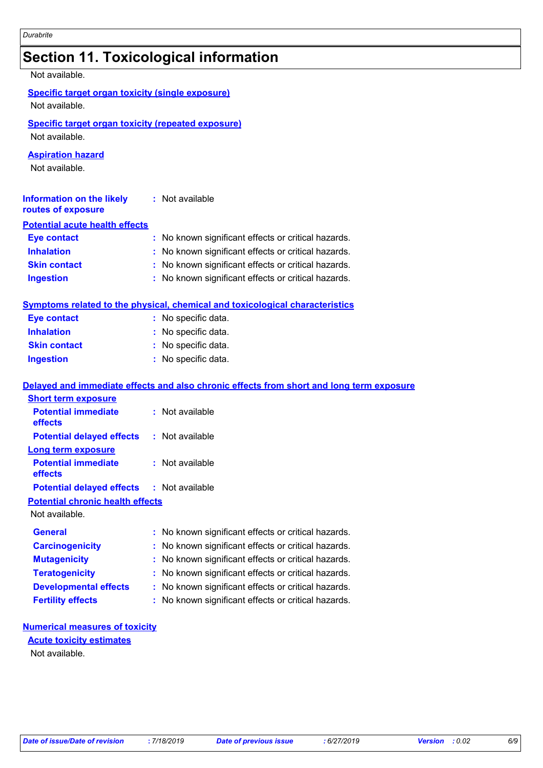# **Section 11. Toxicological information**

Not available.

Not available.

### **Specific target organ toxicity (repeated exposure)**

Not available.

### **Aspiration hazard**

Not available.

| <b>Information on the likely</b><br>routes of exposure | : Not available                                     |
|--------------------------------------------------------|-----------------------------------------------------|
| <b>Potential acute health effects</b>                  |                                                     |
| <b>Eye contact</b>                                     | : No known significant effects or critical hazards. |
| <b>Inhalation</b>                                      | : No known significant effects or critical hazards. |
| <b>Skin contact</b>                                    | : No known significant effects or critical hazards. |
| <b>Ingestion</b>                                       | : No known significant effects or critical hazards. |

### **Symptoms related to the physical, chemical and toxicological characteristics**

| <b>Eye contact</b>  | : No specific data. |
|---------------------|---------------------|
| <b>Inhalation</b>   | : No specific data. |
| <b>Skin contact</b> | : No specific data. |
| <b>Ingestion</b>    | : No specific data. |

### **Delayed and immediate effects and also chronic effects from short and long term exposure**

| <b>Short term exposure</b>                       |                                                     |
|--------------------------------------------------|-----------------------------------------------------|
| <b>Potential immediate</b><br>effects            | : Not available                                     |
| <b>Potential delayed effects</b>                 | : Not available                                     |
| Long term exposure                               |                                                     |
| <b>Potential immediate</b><br>effects            | : Not available                                     |
| <b>Potential delayed effects : Not available</b> |                                                     |
| <b>Potential chronic health effects</b>          |                                                     |
| Not available.                                   |                                                     |
| <b>General</b>                                   | : No known significant effects or critical hazards. |
| <b>Carcinogenicity</b>                           | : No known significant effects or critical hazards. |
| <b>Mutagenicity</b>                              | : No known significant effects or critical hazards. |
| <b>Teratogenicity</b>                            | : No known significant effects or critical hazards. |
| <b>Developmental effects</b>                     | : No known significant effects or critical hazards. |
| <b>Fertility effects</b>                         | : No known significant effects or critical hazards. |

### **Numerical measures of toxicity**

### **Acute toxicity estimates**

Not available.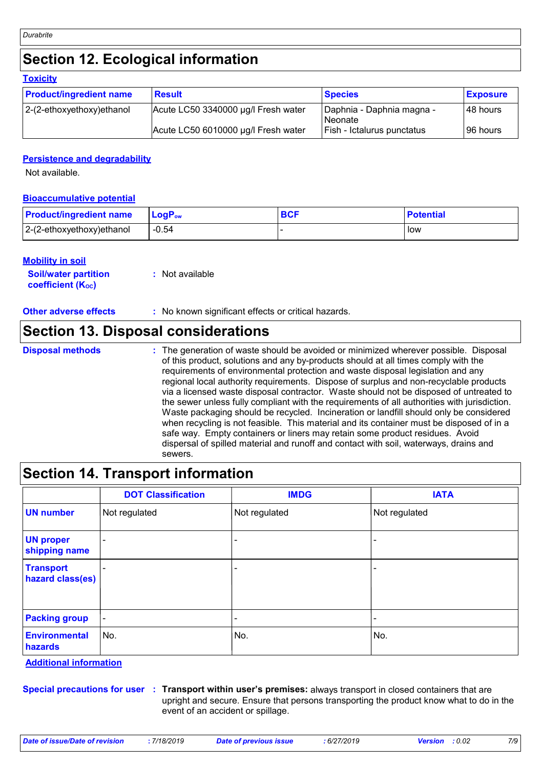# **Section 12. Ecological information**

| <b>Toxicity</b>                |                                     |                                      |                 |
|--------------------------------|-------------------------------------|--------------------------------------|-----------------|
| <b>Product/ingredient name</b> | <b>Result</b>                       | <b>Species</b>                       | <b>Exposure</b> |
| $ 2-(2-ethoxyethoxy)e$ thanol  | Acute LC50 3340000 µg/l Fresh water | Daphnia - Daphnia magna -<br>Neonate | 48 hours        |
|                                | Acute LC50 6010000 µg/l Fresh water | Fish - Ictalurus punctatus           | 96 hours        |

### **Persistence and degradability**

Not available.

### **Bioaccumulative potential**

| <b>Product/ingredient name</b> | $LogPow$ | <b>BCF</b> | <b>Potential</b> |
|--------------------------------|----------|------------|------------------|
| $ 2-(2-ethoxyethoxy)e$ thanol  | $-0.54$  |            | low              |

### **Mobility in soil**

| <b>Soil/water partition</b> | : Not available |
|-----------------------------|-----------------|
| <b>coefficient (Koc)</b>    |                 |

**Other adverse effects** : No known significant effects or critical hazards.

### **Section 13. Disposal considerations**

- **Disposal methods :**
- The generation of waste should be avoided or minimized wherever possible. Disposal of this product, solutions and any by-products should at all times comply with the requirements of environmental protection and waste disposal legislation and any regional local authority requirements. Dispose of surplus and non-recyclable products via a licensed waste disposal contractor. Waste should not be disposed of untreated to the sewer unless fully compliant with the requirements of all authorities with jurisdiction. Waste packaging should be recycled. Incineration or landfill should only be considered when recycling is not feasible. This material and its container must be disposed of in a safe way. Empty containers or liners may retain some product residues. Avoid dispersal of spilled material and runoff and contact with soil, waterways, drains and sewers.

### **Section 14. Transport information**

|                                      | <b>DOT Classification</b> | <b>IMDG</b>   | <b>IATA</b>   |
|--------------------------------------|---------------------------|---------------|---------------|
| <b>UN number</b>                     | Not regulated             | Not regulated | Not regulated |
| <b>UN proper</b><br>shipping name    | $\overline{\phantom{0}}$  |               |               |
| <b>Transport</b><br>hazard class(es) |                           |               |               |
| <b>Packing group</b>                 | $\blacksquare$            |               | -             |
| <b>Environmental</b><br>hazards      | No.                       | No.           | No.           |

**Additional information**

**Special precautions for user Transport within user's premises:** always transport in closed containers that are **:** upright and secure. Ensure that persons transporting the product know what to do in the event of an accident or spillage.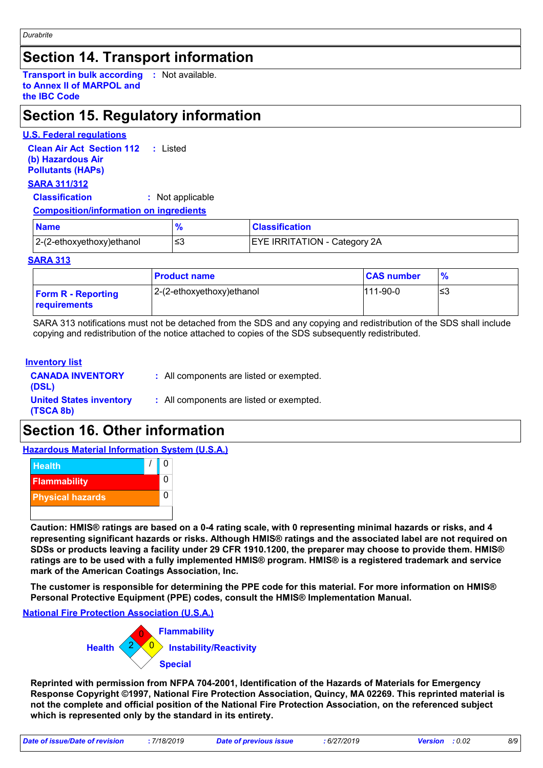### **Section 14. Transport information**

**Transport in bulk according :** Not available. **to Annex II of MARPOL and the IBC Code**

## **Section 15. Regulatory information**

### **U.S. Federal regulations**

**Clean Air Act Section 112 (b) Hazardous Air Pollutants (HAPs) :** Listed

### **SARA 311/312**

**Classification :** Not applicable

### **Composition/information on ingredients**

| <b>Name</b>               | $\mathbf{o}_{l}$ | <b>Classification</b>               |  |
|---------------------------|------------------|-------------------------------------|--|
| 2-(2-ethoxyethoxy)ethanol | ≃                | <b>EYE IRRITATION - Category 2A</b> |  |

### **SARA 313**

|                                           | <b>Product name</b>       | <b>CAS number</b> | $\frac{9}{6}$ |
|-------------------------------------------|---------------------------|-------------------|---------------|
| <b>Form R - Reporting</b><br>requirements | 2-(2-ethoxyethoxy)ethanol | $111 - 90 - 0$    | ≤3            |

SARA 313 notifications must not be detached from the SDS and any copying and redistribution of the SDS shall include copying and redistribution of the notice attached to copies of the SDS subsequently redistributed.

### **Inventory list**

| <b>CANADA INVENTORY</b><br>(DSL)            | : All components are listed or exempted. |
|---------------------------------------------|------------------------------------------|
| <b>United States inventory</b><br>(TSCA 8b) | : All components are listed or exempted. |

### **Section 16. Other information**

**Hazardous Material Information System (U.S.A.)**



**Caution: HMIS® ratings are based on a 0-4 rating scale, with 0 representing minimal hazards or risks, and 4 representing significant hazards or risks. Although HMIS® ratings and the associated label are not required on SDSs or products leaving a facility under 29 CFR 1910.1200, the preparer may choose to provide them. HMIS® ratings are to be used with a fully implemented HMIS® program. HMIS® is a registered trademark and service mark of the American Coatings Association, Inc.**

**The customer is responsible for determining the PPE code for this material. For more information on HMIS® Personal Protective Equipment (PPE) codes, consult the HMIS® Implementation Manual.**

### **National Fire Protection Association (U.S.A.)**



**Reprinted with permission from NFPA 704-2001, Identification of the Hazards of Materials for Emergency Response Copyright ©1997, National Fire Protection Association, Quincy, MA 02269. This reprinted material is not the complete and official position of the National Fire Protection Association, on the referenced subject which is represented only by the standard in its entirety.**